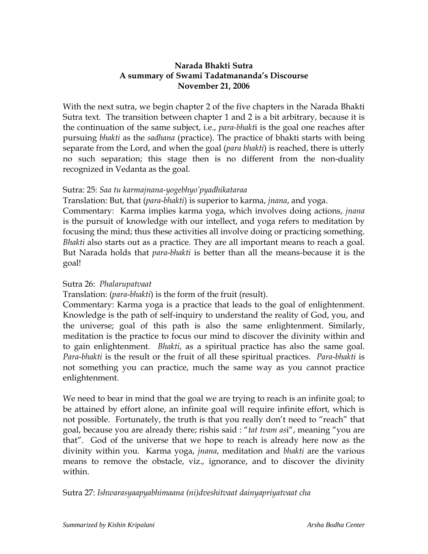# **Narada Bhakti Sutra A summary of Swami Tadatmananda's Discourse November 21, 2006**

With the next sutra, we begin chapter 2 of the five chapters in the Narada Bhakti Sutra text. The transition between chapter 1 and 2 is a bit arbitrary, because it is the continuation of the same subject, i.e., *para-bhakt*i is the goal one reaches after pursuing *bhakti* as the *sadhana* (practice). The practice of bhakti starts with being separate from the Lord, and when the goal (*para bhakti*) is reached, there is utterly no such separation; this stage then is no different from the non-duality recognized in Vedanta as the goal.

# Sutra: 25: *Saa tu karmajnana-yogebhyo'pyadhikataraa*

Translation: But, that (*para*-*bhakti*) is superior to karma, *jnana*, and yoga.

Commentary: Karma implies karma yoga, which involves doing actions, *jnana* is the pursuit of knowledge with our intellect, and yoga refers to meditation by focusing the mind; thus these activities all involve doing or practicing something. *Bhakti* also starts out as a practice. They are all important means to reach a goal. But Narada holds that *para*-*bhakti* is better than all the means-because it is the goal!

# Sutra 26: *Phalarupatvaat*

Translation: (*para*-*bhakti*) is the form of the fruit (result).

Commentary: Karma yoga is a practice that leads to the goal of enlightenment. Knowledge is the path of self-inquiry to understand the reality of God, you, and the universe; goal of this path is also the same enlightenment. Similarly, meditation is the practice to focus our mind to discover the divinity within and to gain enlightenment. *Bhakti*, as a spiritual practice has also the same goal. *Para*-*bhakti* is the result or the fruit of all these spiritual practices. *Para*-*bhakti* is not something you can practice, much the same way as you cannot practice enlightenment.

We need to bear in mind that the goal we are trying to reach is an infinite goal; to be attained by effort alone, an infinite goal will require infinite effort, which is not possible. Fortunately, the truth is that you really don't need to "reach" that goal, because you are already there; rishis said : "*tat tvam as*i", meaning "you are that". God of the universe that we hope to reach is already here now as the divinity within you. Karma yoga, *jnana*, meditation and *bhakti* are the various means to remove the obstacle, viz., ignorance, and to discover the divinity within.

Sutra 27: *Ishwarasyaapyabhimaana (ni)dveshitvaat dainyapriyatvaat cha*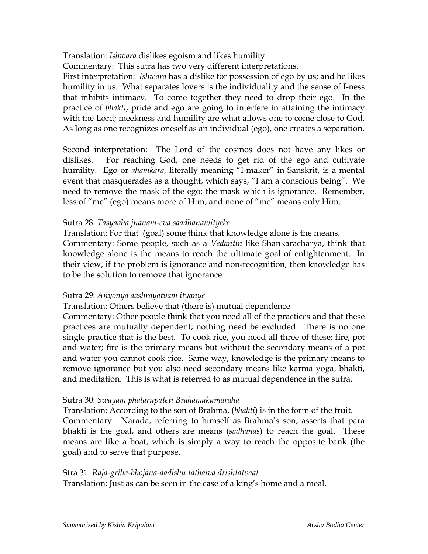Translation: *Ishwara* dislikes egoism and likes humility.

Commentary: This sutra has two very different interpretations.

First interpretation: *Ishwara* has a dislike for possession of ego by us; and he likes humility in us. What separates lovers is the individuality and the sense of I-ness that inhibits intimacy. To come together they need to drop their ego. In the practice of *bhakti*, pride and ego are going to interfere in attaining the intimacy with the Lord; meekness and humility are what allows one to come close to God. As long as one recognizes oneself as an individual (ego), one creates a separation.

Second interpretation: The Lord of the cosmos does not have any likes or dislikes. For reaching God, one needs to get rid of the ego and cultivate humility. Ego or *ahamkara*, literally meaning "I-maker" in Sanskrit, is a mental event that masquerades as a thought, which says, "I am a conscious being". We need to remove the mask of the ego; the mask which is ignorance. Remember, less of "me" (ego) means more of Him, and none of "me" means only Him.

#### Sutra 28: *Tasyaaha jnanam-eva saadhanamityeke*

Translation: For that (goal) some think that knowledge alone is the means. Commentary: Some people, such as a *Vedantin* like Shankaracharya, think that knowledge alone is the means to reach the ultimate goal of enlightenment. In their view, if the problem is ignorance and non-recognition, then knowledge has to be the solution to remove that ignorance.

#### Sutra 29: *Anyonya aashrayatvam ityanye*

Translation: Others believe that (there is) mutual dependence

Commentary: Other people think that you need all of the practices and that these practices are mutually dependent; nothing need be excluded. There is no one single practice that is the best. To cook rice, you need all three of these: fire, pot and water; fire is the primary means but without the secondary means of a pot and water you cannot cook rice. Same way, knowledge is the primary means to remove ignorance but you also need secondary means like karma yoga, bhakti, and meditation. This is what is referred to as mutual dependence in the sutra.

# Sutra 30: *Swayam phalarupateti Brahamakumaraha*

Translation: According to the son of Brahma, (*bhakti*) is in the form of the fruit. Commentary: Narada, referring to himself as Brahma's son, asserts that para bhakti is the goal, and others are means (*sadhanas*) to reach the goal. These means are like a boat, which is simply a way to reach the opposite bank (the goal) and to serve that purpose.

# Stra 31: *Raja-griha-bhojana-aadishu tathaiva drishtatvaat*

Translation: Just as can be seen in the case of a king's home and a meal.